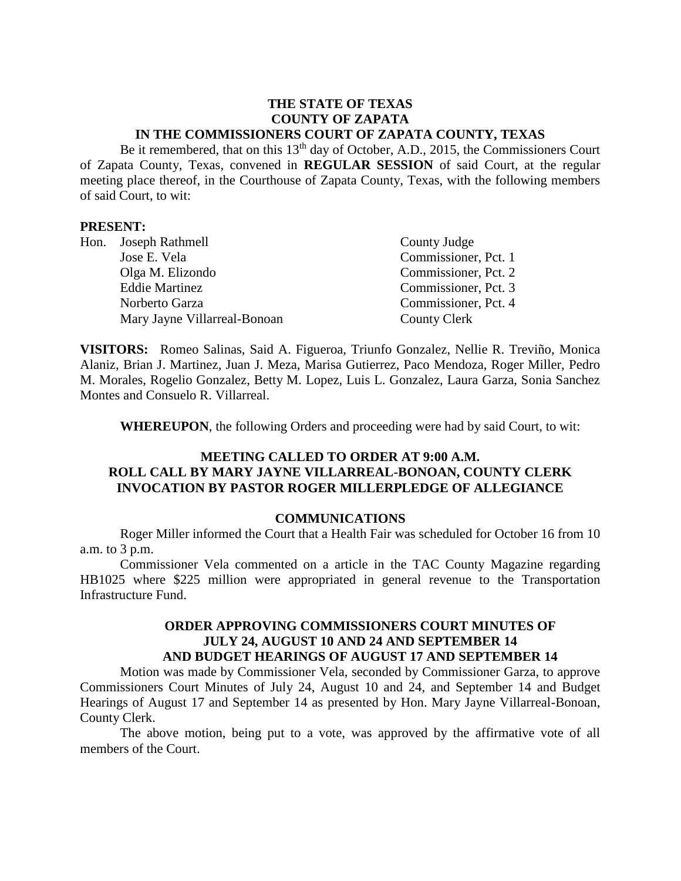## **THE STATE OF TEXAS COUNTY OF ZAPATA IN THE COMMISSIONERS COURT OF ZAPATA COUNTY, TEXAS**

Be it remembered, that on this  $13<sup>th</sup>$  day of October, A.D., 2015, the Commissioners Court of Zapata County, Texas, convened in **REGULAR SESSION** of said Court, at the regular meeting place thereof, in the Courthouse of Zapata County, Texas, with the following members of said Court, to wit:

#### **PRESENT:**

| Hon. Joseph Rathmell         | County Judge         |
|------------------------------|----------------------|
| Jose E. Vela                 | Commissioner, Pct. 1 |
| Olga M. Elizondo             | Commissioner, Pct. 2 |
| <b>Eddie Martinez</b>        | Commissioner, Pct. 3 |
| Norberto Garza               | Commissioner, Pct. 4 |
| Mary Jayne Villarreal-Bonoan | <b>County Clerk</b>  |

**VISITORS:** Romeo Salinas, Said A. Figueroa, Triunfo Gonzalez, Nellie R. Treviño, Monica Alaniz, Brian J. Martinez, Juan J. Meza, Marisa Gutierrez, Paco Mendoza, Roger Miller, Pedro M. Morales, Rogelio Gonzalez, Betty M. Lopez, Luis L. Gonzalez, Laura Garza, Sonia Sanchez Montes and Consuelo R. Villarreal.

**WHEREUPON**, the following Orders and proceeding were had by said Court, to wit:

## **MEETING CALLED TO ORDER AT 9:00 A.M. ROLL CALL BY MARY JAYNE VILLARREAL-BONOAN, COUNTY CLERK INVOCATION BY PASTOR ROGER MILLERPLEDGE OF ALLEGIANCE**

#### **COMMUNICATIONS**

Roger Miller informed the Court that a Health Fair was scheduled for October 16 from 10 a.m. to 3 p.m.

Commissioner Vela commented on a article in the TAC County Magazine regarding HB1025 where \$225 million were appropriated in general revenue to the Transportation Infrastructure Fund.

### **ORDER APPROVING COMMISSIONERS COURT MINUTES OF JULY 24, AUGUST 10 AND 24 AND SEPTEMBER 14 AND BUDGET HEARINGS OF AUGUST 17 AND SEPTEMBER 14**

Motion was made by Commissioner Vela, seconded by Commissioner Garza, to approve Commissioners Court Minutes of July 24, August 10 and 24, and September 14 and Budget Hearings of August 17 and September 14 as presented by Hon. Mary Jayne Villarreal-Bonoan, County Clerk.

The above motion, being put to a vote, was approved by the affirmative vote of all members of the Court.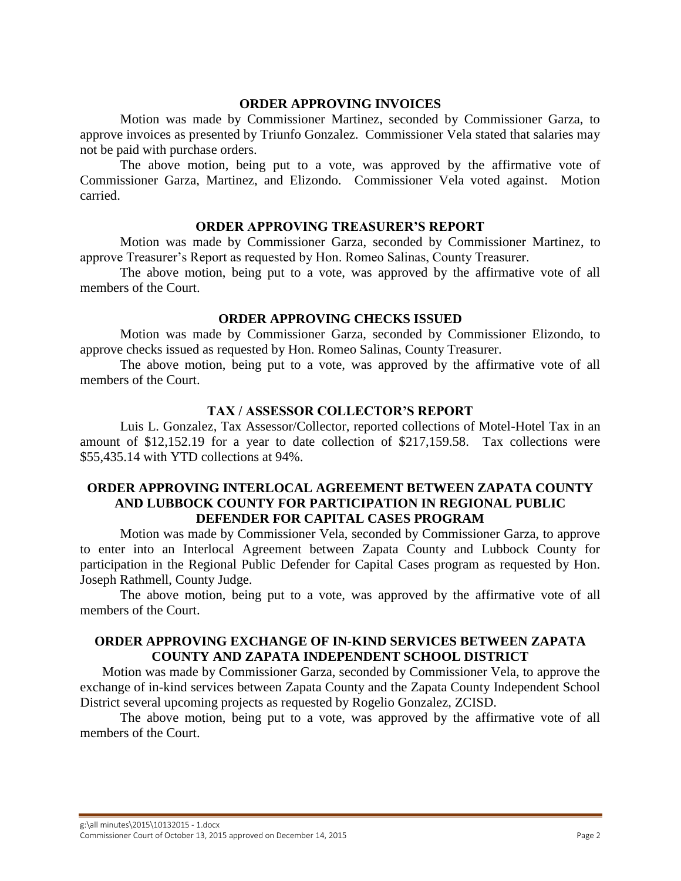#### **ORDER APPROVING INVOICES**

Motion was made by Commissioner Martinez, seconded by Commissioner Garza, to approve invoices as presented by Triunfo Gonzalez. Commissioner Vela stated that salaries may not be paid with purchase orders.

The above motion, being put to a vote, was approved by the affirmative vote of Commissioner Garza, Martinez, and Elizondo. Commissioner Vela voted against. Motion carried.

### **ORDER APPROVING TREASURER'S REPORT**

Motion was made by Commissioner Garza, seconded by Commissioner Martinez, to approve Treasurer's Report as requested by Hon. Romeo Salinas, County Treasurer.

The above motion, being put to a vote, was approved by the affirmative vote of all members of the Court.

#### **ORDER APPROVING CHECKS ISSUED**

Motion was made by Commissioner Garza, seconded by Commissioner Elizondo, to approve checks issued as requested by Hon. Romeo Salinas, County Treasurer.

The above motion, being put to a vote, was approved by the affirmative vote of all members of the Court.

### **TAX / ASSESSOR COLLECTOR'S REPORT**

Luis L. Gonzalez, Tax Assessor/Collector, reported collections of Motel-Hotel Tax in an amount of \$12,152.19 for a year to date collection of \$217,159.58. Tax collections were \$55,435.14 with YTD collections at 94%.

## **ORDER APPROVING INTERLOCAL AGREEMENT BETWEEN ZAPATA COUNTY AND LUBBOCK COUNTY FOR PARTICIPATION IN REGIONAL PUBLIC DEFENDER FOR CAPITAL CASES PROGRAM**

Motion was made by Commissioner Vela, seconded by Commissioner Garza, to approve to enter into an Interlocal Agreement between Zapata County and Lubbock County for participation in the Regional Public Defender for Capital Cases program as requested by Hon. Joseph Rathmell, County Judge.

The above motion, being put to a vote, was approved by the affirmative vote of all members of the Court.

### **ORDER APPROVING EXCHANGE OF IN-KIND SERVICES BETWEEN ZAPATA COUNTY AND ZAPATA INDEPENDENT SCHOOL DISTRICT**

Motion was made by Commissioner Garza, seconded by Commissioner Vela, to approve the exchange of in-kind services between Zapata County and the Zapata County Independent School District several upcoming projects as requested by Rogelio Gonzalez, ZCISD.

The above motion, being put to a vote, was approved by the affirmative vote of all members of the Court.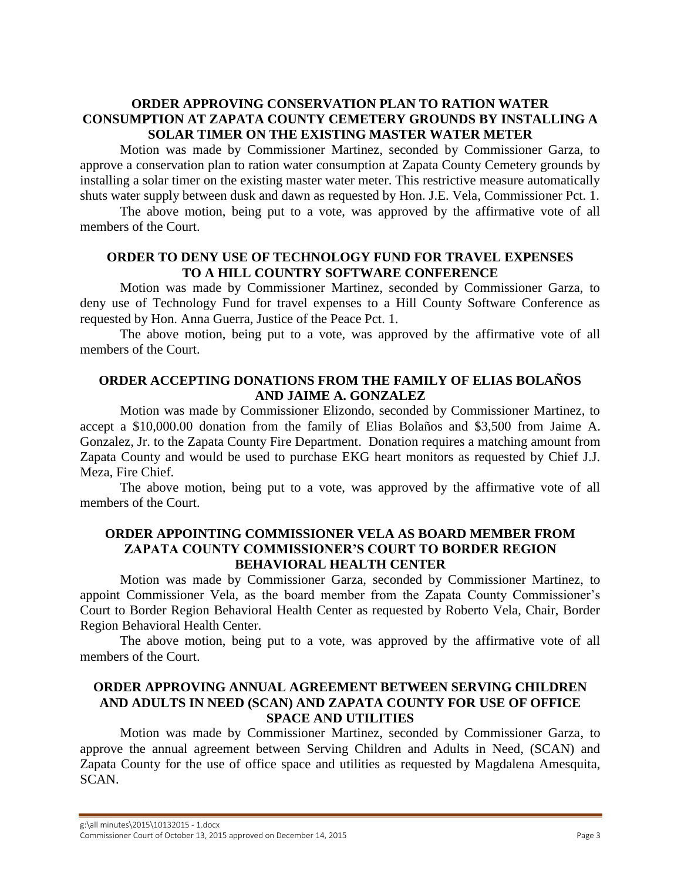# **ORDER APPROVING CONSERVATION PLAN TO RATION WATER CONSUMPTION AT ZAPATA COUNTY CEMETERY GROUNDS BY INSTALLING A SOLAR TIMER ON THE EXISTING MASTER WATER METER**

Motion was made by Commissioner Martinez, seconded by Commissioner Garza, to approve a conservation plan to ration water consumption at Zapata County Cemetery grounds by installing a solar timer on the existing master water meter. This restrictive measure automatically shuts water supply between dusk and dawn as requested by Hon. J.E. Vela, Commissioner Pct. 1.

The above motion, being put to a vote, was approved by the affirmative vote of all members of the Court.

## **ORDER TO DENY USE OF TECHNOLOGY FUND FOR TRAVEL EXPENSES TO A HILL COUNTRY SOFTWARE CONFERENCE**

Motion was made by Commissioner Martinez, seconded by Commissioner Garza, to deny use of Technology Fund for travel expenses to a Hill County Software Conference as requested by Hon. Anna Guerra, Justice of the Peace Pct. 1.

The above motion, being put to a vote, was approved by the affirmative vote of all members of the Court.

# **ORDER ACCEPTING DONATIONS FROM THE FAMILY OF ELIAS BOLAÑOS AND JAIME A. GONZALEZ**

Motion was made by Commissioner Elizondo, seconded by Commissioner Martinez, to accept a \$10,000.00 donation from the family of Elias Bolaños and \$3,500 from Jaime A. Gonzalez, Jr. to the Zapata County Fire Department. Donation requires a matching amount from Zapata County and would be used to purchase EKG heart monitors as requested by Chief J.J. Meza, Fire Chief.

The above motion, being put to a vote, was approved by the affirmative vote of all members of the Court.

# **ORDER APPOINTING COMMISSIONER VELA AS BOARD MEMBER FROM ZAPATA COUNTY COMMISSIONER'S COURT TO BORDER REGION BEHAVIORAL HEALTH CENTER**

Motion was made by Commissioner Garza, seconded by Commissioner Martinez, to appoint Commissioner Vela, as the board member from the Zapata County Commissioner's Court to Border Region Behavioral Health Center as requested by Roberto Vela, Chair, Border Region Behavioral Health Center.

The above motion, being put to a vote, was approved by the affirmative vote of all members of the Court.

# **ORDER APPROVING ANNUAL AGREEMENT BETWEEN SERVING CHILDREN AND ADULTS IN NEED (SCAN) AND ZAPATA COUNTY FOR USE OF OFFICE SPACE AND UTILITIES**

Motion was made by Commissioner Martinez, seconded by Commissioner Garza, to approve the annual agreement between Serving Children and Adults in Need, (SCAN) and Zapata County for the use of office space and utilities as requested by Magdalena Amesquita, SCAN.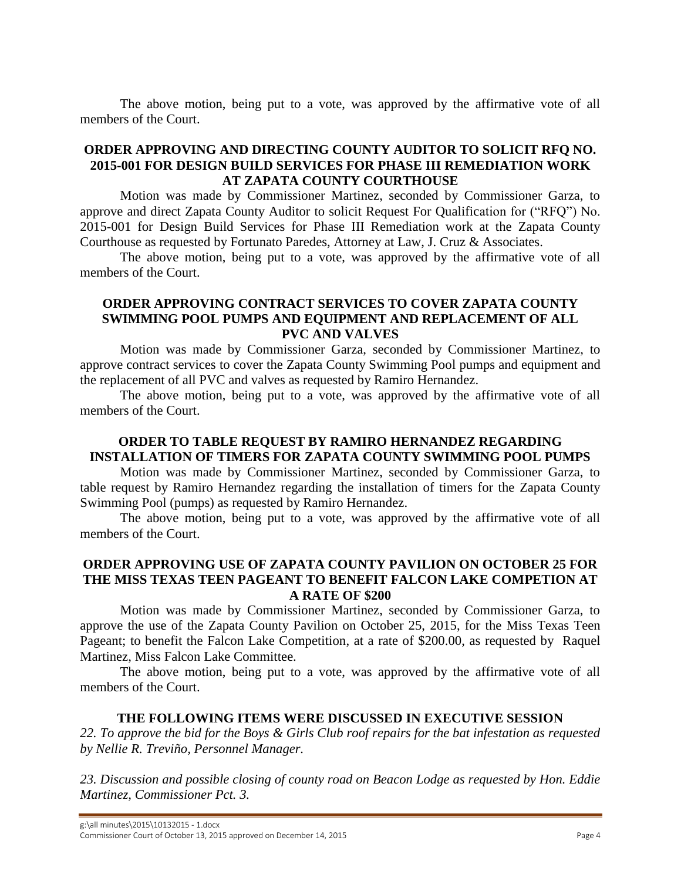The above motion, being put to a vote, was approved by the affirmative vote of all members of the Court.

# **ORDER APPROVING AND DIRECTING COUNTY AUDITOR TO SOLICIT RFQ NO. 2015-001 FOR DESIGN BUILD SERVICES FOR PHASE III REMEDIATION WORK AT ZAPATA COUNTY COURTHOUSE**

Motion was made by Commissioner Martinez, seconded by Commissioner Garza, to approve and direct Zapata County Auditor to solicit Request For Qualification for ("RFQ") No. 2015-001 for Design Build Services for Phase III Remediation work at the Zapata County Courthouse as requested by Fortunato Paredes, Attorney at Law, J. Cruz & Associates.

The above motion, being put to a vote, was approved by the affirmative vote of all members of the Court.

# **ORDER APPROVING CONTRACT SERVICES TO COVER ZAPATA COUNTY SWIMMING POOL PUMPS AND EQUIPMENT AND REPLACEMENT OF ALL PVC AND VALVES**

Motion was made by Commissioner Garza, seconded by Commissioner Martinez, to approve contract services to cover the Zapata County Swimming Pool pumps and equipment and the replacement of all PVC and valves as requested by Ramiro Hernandez.

The above motion, being put to a vote, was approved by the affirmative vote of all members of the Court.

## **ORDER TO TABLE REQUEST BY RAMIRO HERNANDEZ REGARDING INSTALLATION OF TIMERS FOR ZAPATA COUNTY SWIMMING POOL PUMPS**

Motion was made by Commissioner Martinez, seconded by Commissioner Garza, to table request by Ramiro Hernandez regarding the installation of timers for the Zapata County Swimming Pool (pumps) as requested by Ramiro Hernandez.

The above motion, being put to a vote, was approved by the affirmative vote of all members of the Court.

# **ORDER APPROVING USE OF ZAPATA COUNTY PAVILION ON OCTOBER 25 FOR THE MISS TEXAS TEEN PAGEANT TO BENEFIT FALCON LAKE COMPETION AT A RATE OF \$200**

Motion was made by Commissioner Martinez, seconded by Commissioner Garza, to approve the use of the Zapata County Pavilion on October 25, 2015, for the Miss Texas Teen Pageant; to benefit the Falcon Lake Competition, at a rate of \$200.00, as requested by Raquel Martinez, Miss Falcon Lake Committee.

The above motion, being put to a vote, was approved by the affirmative vote of all members of the Court.

## **THE FOLLOWING ITEMS WERE DISCUSSED IN EXECUTIVE SESSION**

*22. To approve the bid for the Boys & Girls Club roof repairs for the bat infestation as requested by Nellie R. Treviño, Personnel Manager.*

*23. Discussion and possible closing of county road on Beacon Lodge as requested by Hon. Eddie Martinez, Commissioner Pct. 3.*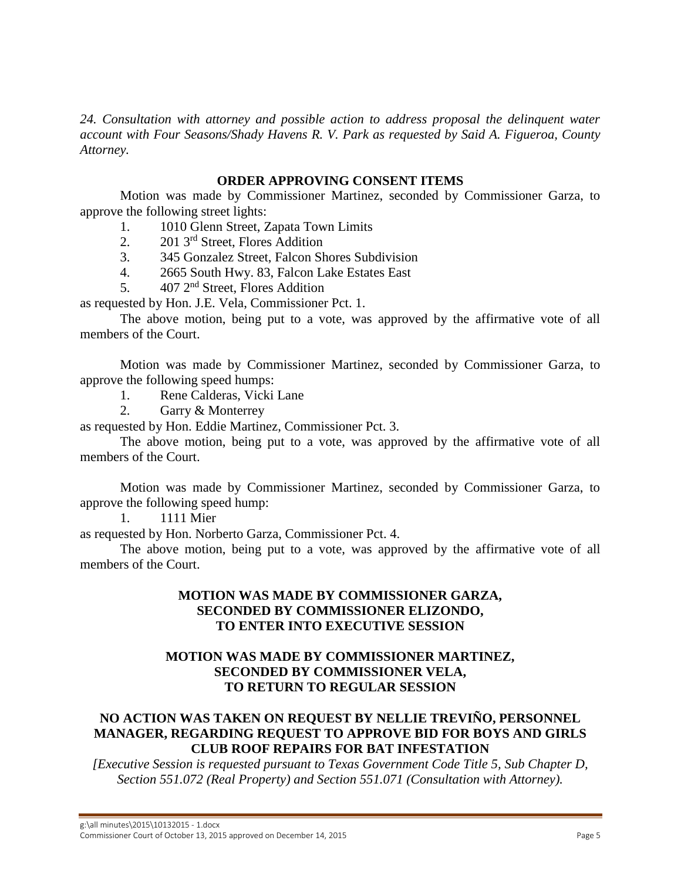*24. Consultation with attorney and possible action to address proposal the delinquent water account with Four Seasons/Shady Havens R. V. Park as requested by Said A. Figueroa, County Attorney.*

## **ORDER APPROVING CONSENT ITEMS**

Motion was made by Commissioner Martinez, seconded by Commissioner Garza, to approve the following street lights:

- 1. 1010 Glenn Street, Zapata Town Limits
- 2. 201 3rd Street, Flores Addition
- 3. 345 Gonzalez Street, Falcon Shores Subdivision
- 4. 2665 South Hwy. 83, Falcon Lake Estates East
- 5.  $407 \, 2^{nd}$  Street, Flores Addition

as requested by Hon. J.E. Vela, Commissioner Pct. 1.

The above motion, being put to a vote, was approved by the affirmative vote of all members of the Court.

Motion was made by Commissioner Martinez, seconded by Commissioner Garza, to approve the following speed humps:

1. Rene Calderas, Vicki Lane

2. Garry & Monterrey

as requested by Hon. Eddie Martinez, Commissioner Pct. 3.

The above motion, being put to a vote, was approved by the affirmative vote of all members of the Court.

Motion was made by Commissioner Martinez, seconded by Commissioner Garza, to approve the following speed hump:

1. 1111 Mier

as requested by Hon. Norberto Garza, Commissioner Pct. 4.

The above motion, being put to a vote, was approved by the affirmative vote of all members of the Court.

# **MOTION WAS MADE BY COMMISSIONER GARZA, SECONDED BY COMMISSIONER ELIZONDO, TO ENTER INTO EXECUTIVE SESSION**

# **MOTION WAS MADE BY COMMISSIONER MARTINEZ, SECONDED BY COMMISSIONER VELA, TO RETURN TO REGULAR SESSION**

# **NO ACTION WAS TAKEN ON REQUEST BY NELLIE TREVIÑO, PERSONNEL MANAGER, REGARDING REQUEST TO APPROVE BID FOR BOYS AND GIRLS CLUB ROOF REPAIRS FOR BAT INFESTATION**

*[Executive Session is requested pursuant to Texas Government Code Title 5, Sub Chapter D, Section 551.072 (Real Property) and Section 551.071 (Consultation with Attorney).*